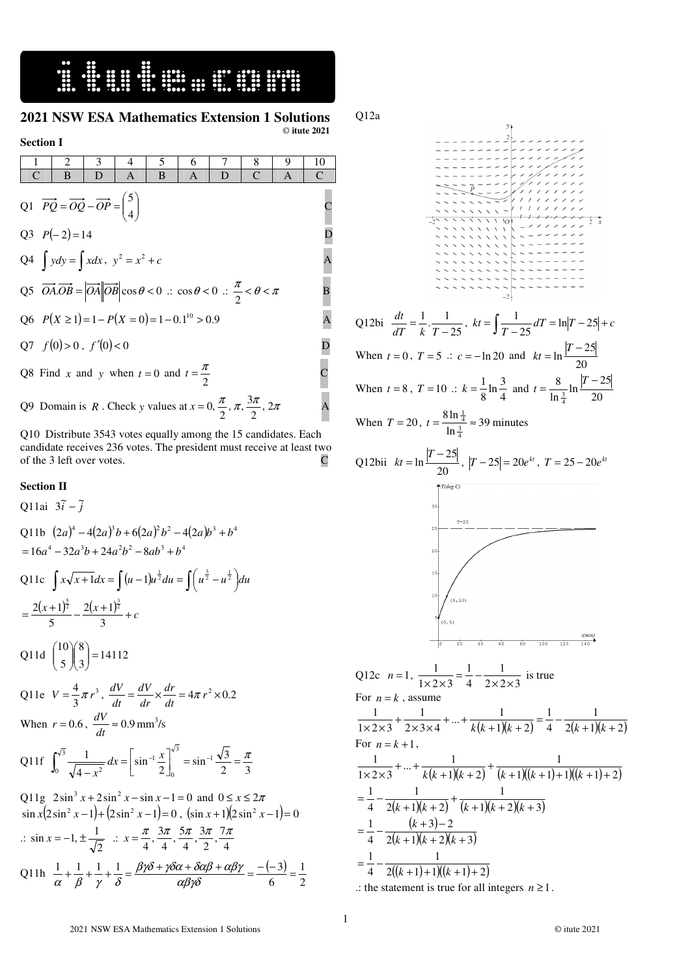## <u> 4 mars 4 mars 4 mars 4 mars 4 mars 4 mars 4 mars 4 mars 4 mars 4 mars 4 mars 4 mars 4 mars 4 mars 4 mars 4 m</u>

 $\overline{a}$ 

#### **2021 NSW ESA Mathematics Extension 1 Solutions**  © **itute 2021**

#### **Section I**

|                                                                                                             |                                                                                                                                                                  | 2 | 3                                                                                               | 4 | 5 | 6 |   | 8            | 9 | 10                    |
|-------------------------------------------------------------------------------------------------------------|------------------------------------------------------------------------------------------------------------------------------------------------------------------|---|-------------------------------------------------------------------------------------------------|---|---|---|---|--------------|---|-----------------------|
|                                                                                                             |                                                                                                                                                                  | B | D                                                                                               | Α | B | A | D | $\mathsf{C}$ | A | $\mathsf{C}$          |
| Q1 $\overrightarrow{PQ} = \overrightarrow{OQ} - \overrightarrow{OP} = \begin{pmatrix} 5 \\ 4 \end{pmatrix}$ |                                                                                                                                                                  |   |                                                                                                 |   |   |   |   |              |   |                       |
| Q3 $P(-2)=14$                                                                                               |                                                                                                                                                                  |   |                                                                                                 |   |   |   |   |              |   |                       |
|                                                                                                             | Q4 $\int ydy = \int xdx$ , $y^2 = x^2 + c$                                                                                                                       |   |                                                                                                 |   |   |   |   |              |   | A                     |
|                                                                                                             | Q5 $\overrightarrow{OA}\cdot\overrightarrow{OB} =  \overrightarrow{OA}  \overrightarrow{OB}  \cos\theta < 0$ : $\cos\theta < 0$ : $\frac{\pi}{2} < \theta < \pi$ |   |                                                                                                 |   |   |   |   |              |   |                       |
|                                                                                                             | Q6 $P(X \ge 1) = 1 - P(X = 0) = 1 - 0.1^{10} > 0.9$                                                                                                              |   |                                                                                                 |   |   |   |   |              |   | A                     |
|                                                                                                             |                                                                                                                                                                  |   | Q7 $f(0) > 0$ , $f'(0) < 0$                                                                     |   |   |   |   |              |   |                       |
|                                                                                                             |                                                                                                                                                                  |   | Q8 Find x and y when $t = 0$ and $t = \frac{\pi}{2}$                                            |   |   |   |   |              |   | $\overline{\text{C}}$ |
|                                                                                                             |                                                                                                                                                                  |   | Q9 Domain is R. Check y values at $x = 0$ , $\frac{\pi}{2}$ , $\pi$ , $\frac{3\pi}{2}$ , $2\pi$ |   |   |   |   |              |   |                       |

Q10 Distribute 3543 votes equally among the 15 candidates. Each candidate receives 236 votes. The president must receive at least two of the 3 left over votes. C

### **Section II**

#### Q11ai  $3\tilde{i} - \tilde{j}$ Q11b  $(2a)^4 - 4(2a)^3b + 6(2a)^2b^2 - 4(2a)b^3 + b^4$  $= 16a^4 - 32a^3b + 24a^2b^2 - 8ab^3 + b^4$ Q11c  $\int x\sqrt{x+1}dx = \int (u-1)u^{\frac{1}{2}}du = \int (u^{\frac{3}{2}} - u^{\frac{1}{2}})$  $\left(u^{\frac{3}{2}}-u^{\frac{1}{2}}\right)$  $x\sqrt{x+1}dx = \int (u-1)u^{\frac{1}{2}}du = \int (u^{\frac{3}{2}}-u^{\frac{1}{2}})du$  $= \frac{2(x+1)^{\frac{5}{2}}}{5} - \frac{2(x+1)^{\frac{3}{2}}}{3} + c$  $2(x+1)$ 5  $2(x+1)^{\frac{5}{2}}$   $2(x+1)^{\frac{3}{2}}$ Q11d  $\begin{pmatrix} 5 \\ 5 \end{pmatrix} = 14112$ 8 5  $\binom{10}{5}$  $\binom{8}{3}$ = J  $\backslash$  $\overline{\phantom{a}}$ l ſ  $\overline{\phantom{a}}$ J  $\backslash$  $\overline{\phantom{a}}$ l ſ Q11e  $V = \frac{4}{3}\pi r^3$  $V = \frac{4}{3}\pi r^3$ ,  $\frac{dV}{dt} = \frac{dV}{dr} \times \frac{dr}{dt} = 4\pi r^2 \times 0.2$ *dr dr dV dt*  $\frac{dV}{dt} = \frac{dV}{dt} \times \frac{dr}{dt} = 4\pi$ When  $r = 0.6$ ,  $\frac{dv}{dt} \approx 0.9$  $\frac{dV}{dt} \approx 0.9 \text{ mm}^3/\text{s}$ Q11f  $\int_0^1 \frac{1}{\sqrt{4-x^2}} dx = \left[\sin^{-1} \frac{x}{2}\right]_0^1 = \sin^{-1} \frac{\sqrt{5}}{2} = \frac{\pi}{3}$  $\sin^{-1}\frac{x}{2}\Big]_0^{\sqrt{3}} = \sin^{-1}\frac{\sqrt{3}}{2}$ 4 1  $\int x^{-\int \sin^{-1} x} dx$   $-\sin^{-1} x$  $\boldsymbol{0}$ <sup>3</sup> 1  $dx = sin^{-1}$  $0 \sqrt{4-r^2}$  $\int_0^{\pi} = \sin^{-1} \frac{\sqrt{3}}{2} = \frac{\pi}{3}$ 1 L  $=$ −  $\int_0^{\sqrt{3}} \frac{1}{\sqrt{4-x^2}} dx = \left| \sin^{-1} \frac{x}{2} \right|_0^{\sqrt{3}} = \sin^{-1}$ *x* Q11g  $2\sin^3 x + 2\sin^2 x - \sin x - 1 = 0$  and  $0 \le x \le 2\pi$  $\sin x (2 \sin^2 x - 1) + (2 \sin^2 x - 1) = 0$ ,  $(\sin x + 1)(2 \sin^2 x - 1) = 0$ .: 2  $\sin x = -1, \pm \frac{1}{\sqrt{2}} \quad \therefore \quad x = \frac{\pi}{4}, \frac{3\pi}{4}, \frac{5\pi}{4}, \frac{3\pi}{2}, \frac{7\pi}{4}$  $\frac{3\pi}{2}, \frac{7}{4}$  $\frac{5\pi}{4}, \frac{3\pi}{4}$  $\frac{3\pi}{4}, \frac{5\pi}{4}$  $\frac{\pi}{4}, \frac{3}{4}$  $x = \frac{\pi}{4}, \frac{3\pi}{4}, \frac{5\pi}{4}, \frac{3\pi}{2}, \frac{7\pi}{4}$  $\beta\gamma\delta+\gamma\delta\alpha+\delta\alpha\beta+\alpha\beta\gamma$

Q11h  $\frac{1}{\alpha} + \frac{1}{\beta} + \frac{1}{\gamma} + \frac{1}{\delta} = \frac{\beta \gamma \delta + \gamma \delta \alpha + \delta \alpha \beta + \alpha \beta \gamma}{\alpha \beta \gamma \delta} = \frac{-(-3)}{6} = \frac{1}{2}$ 6  $\frac{1}{\alpha} + \frac{1}{\beta} + \frac{1}{\gamma} + \frac{1}{\delta} = \frac{\beta \gamma \delta + \gamma \delta \alpha + \delta \alpha \beta + \alpha \beta \gamma}{\alpha \beta \gamma \delta} = \frac{-(-3)}{6} =$ <sup>α</sup> β γ δ

Q12a Q12bi  $\frac{di}{dT} = \frac{1}{k} \cdot \frac{1}{T-25}$  $\frac{1}{1}$ .  $\frac{1}{1}$  $\frac{di}{dT} = \frac{1}{k} \cdot \frac{1}{T - 1}$  $\frac{dt}{dT} = \frac{1}{k} \cdot \frac{1}{T - 25}$ ,  $kt = \int \frac{1}{T - 25} dT = \ln |T - 25| + c$ 1 When  $t = 0$ ,  $T = 5$  .:  $c = -\ln 20$  and  $kt = \ln \frac{120}{20}$  $kt = \ln \frac{|T - 25|}{r}$ When  $t = 8$ ,  $T = 10$  :  $k = \frac{1}{8} \ln \frac{5}{4}$  $\frac{1}{8} \ln \frac{3}{4}$  $k = \frac{1}{8} \ln \frac{3}{4}$  and  $t = \frac{8}{\ln \frac{3}{4}} \ln \frac{|T-2|}{20}$  $\frac{8}{\ln{\frac{3}{4}}}$  ln  $\frac{|T-25|}{20}$ 8 4 3  $t = \frac{8}{1 \cdot 3} \ln \frac{|T - r|}{r}$ When  $T = 20$ ,  $t = \frac{34}{\ln \frac{3}{4}} \approx 39$ 8 ln  $t = \frac{8 \ln \frac{1}{4}}{\ln \frac{3}{4}} \approx 39$  minutes Q12bii  $kt = \ln \frac{120}{}$  $kt = \ln \frac{|T - 25|}{200}$ ,  $|T - 25| = 20e^{kt}$ ,  $T = 25 - 20e^{kt}$ Q12c  $n=1$ ,  $\frac{1}{1 \times 2 \times 3} = \frac{1}{4} - \frac{1}{2 \times 2 \times 3}$ 1 4 1  $1 \times 2 \times 3$ 1  $\frac{1}{\times 2 \times 3} = \frac{1}{4} - \frac{1}{2 \times 2 \times 3}$  is true For  $n = k$ , assume  $\sqrt{(k+1)(k+2)}$  –  $\frac{1}{4}$  –  $\frac{1}{2(k+1)(k+2)}$ 1 4 1  $1)(k + 2)$  $\frac{1}{2 \times 3 \times 4} + ... + \frac{1}{k(k+1)}$ 1  $1 \times 2 \times 3$ 1  $\frac{1}{\sqrt{2 \times 3}} + \frac{1}{2 \times 3 \times 4} + ... + \frac{1}{k(k+1)(k+2)} = \frac{1}{4} - \frac{1}{2(k+1)(k+1)}$ For  $n = k + 1$ ,  $\overline{(k+1)(k+2)}$ <sup>+</sup> $\overline{(k+1)((k+1)+1)((k+1)+2)}$  $\sqrt{(k+1)(k+2)}$   $\sqrt{(k+1)(k+2)(k+3)}$  $(k + 3)$  $\sqrt{2(k+1)(k+2)(k+3)}$  $2((k+1)+1)((k+1)+2)$ 1 4 1  $3 - 2$ 4 1 1  $2(k+1)(k+2)$ 1 4 1 1  $1)(k + 2)$  $\frac{1}{1 \times 2 \times 3} + ... + \frac{1}{k(k+1)}$ 1  $=\frac{1}{4} - \frac{1}{2((k+1)+1)((k+1)+1)}$  $+1$  $(k + 2)(k +$  $=\frac{1}{4} - \frac{(k+3)-2}{2(k+1)(k+2)(k+1)}$  $=\frac{1}{4} - \frac{1}{2(k+1)(k+2)} + \frac{1}{(k+1)(k+2)(k+2)}$  $\frac{1}{(k+1)(k+2)} + \frac{1}{(k+1)((k+1)+1)((k+1)+1)}$ *k*

.: the statement is true for all integers *n* ≥1.

1